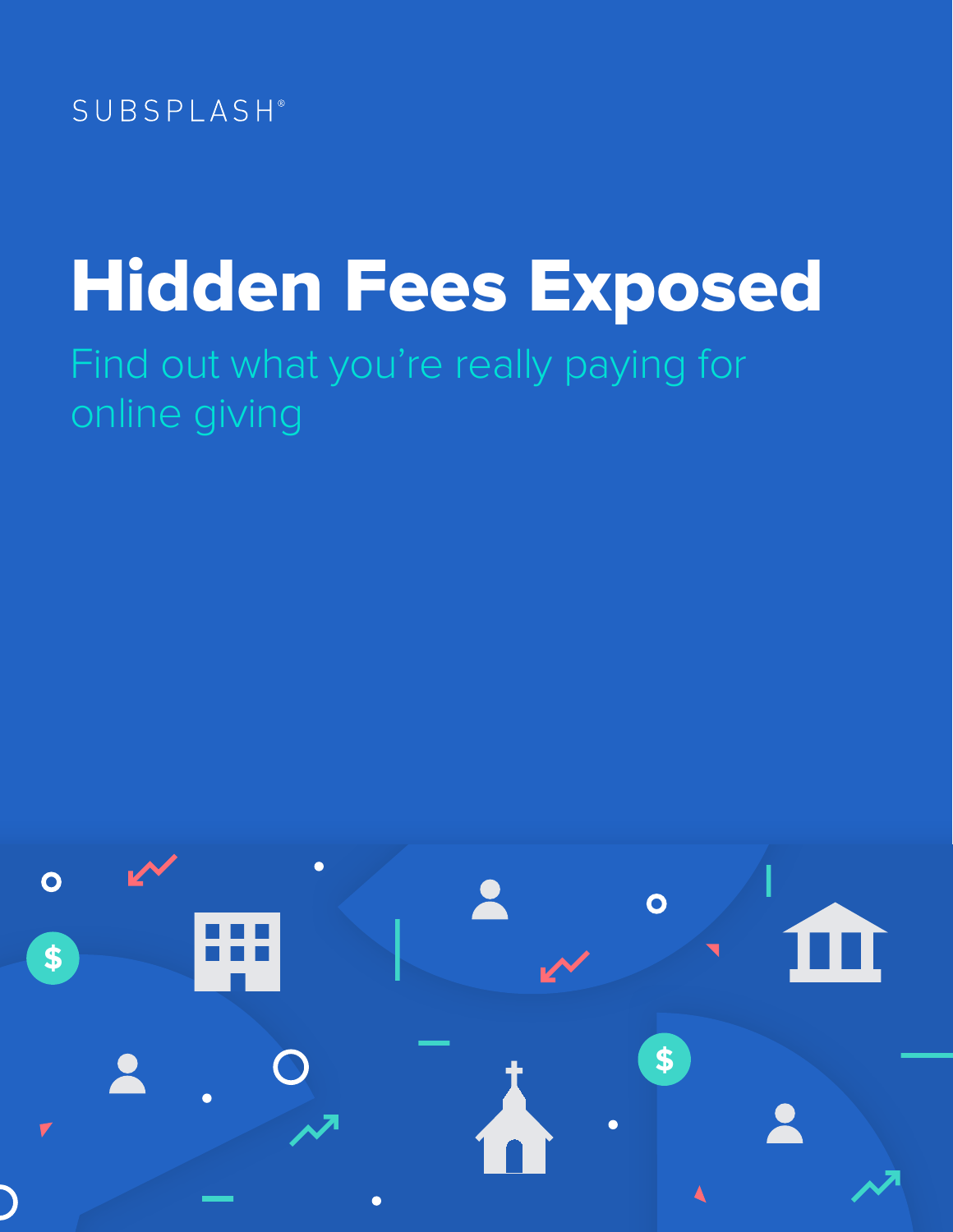

## Hidden Fees Exposed Find out what you're really paying for online giving

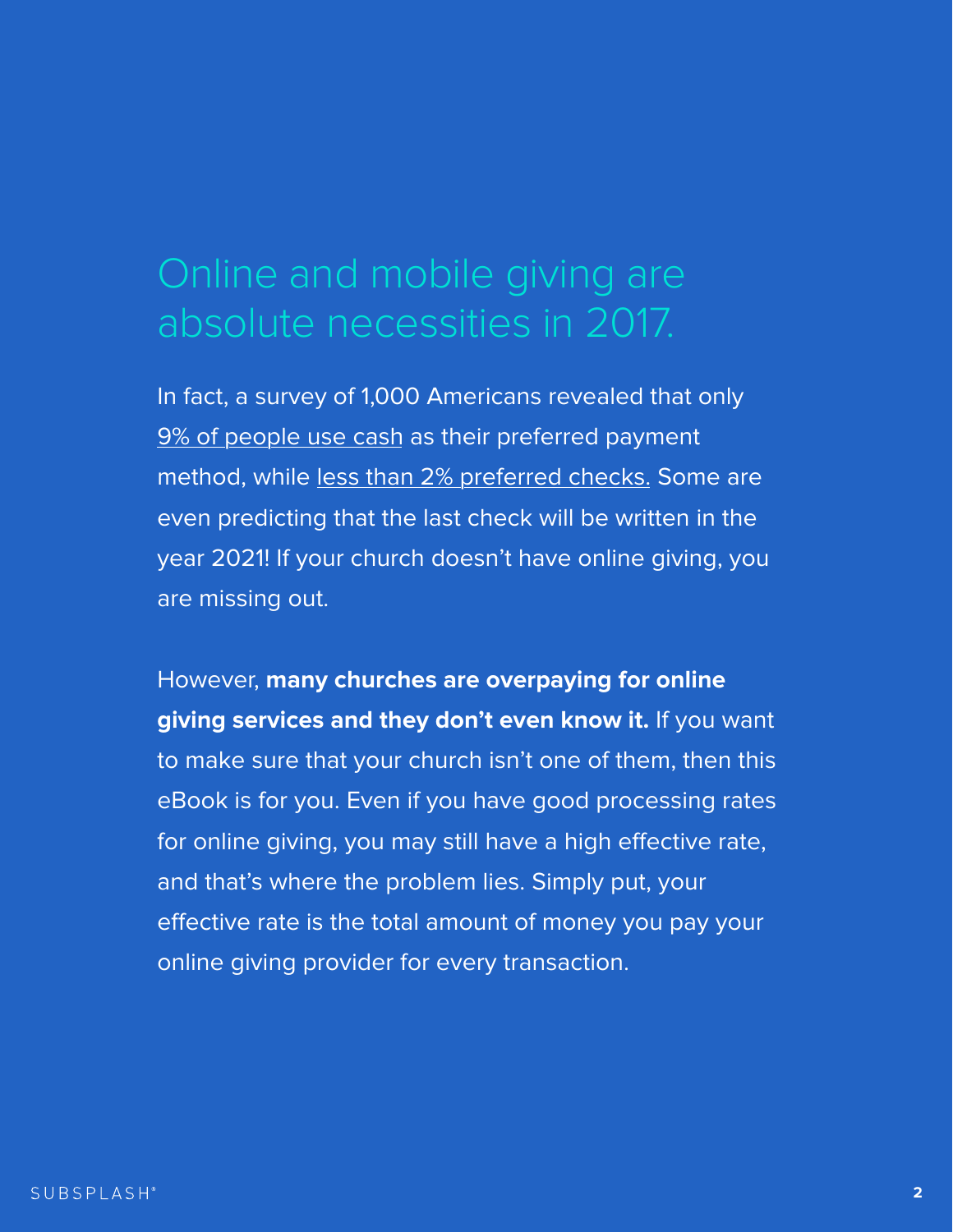In fact, a survey of 1,000 Americans revealed that only [9% of people use cash a](http://www.creditcards.com/credit-card-news/payment-method-statistics-1276.php)s their preferred payment method, while <u>less than 2% preferred checks.</u> Some are even predicting that the last check will be written in the year 2021! If your church doesn't have online giving, you are missing out.

However, **many churches are overpaying for online** 

**giving services and they don't even know it.** If you want to make sure that your church isn't one of them, then this eBook is for you. Even if you have good processing rates for online giving, you may still have a high effective rate, and that's where the problem lies. Simply put, your effective rate is the total amount of money you pay your online giving provider for every transaction.



## Online and mobile giving are absolute necessities in 2017.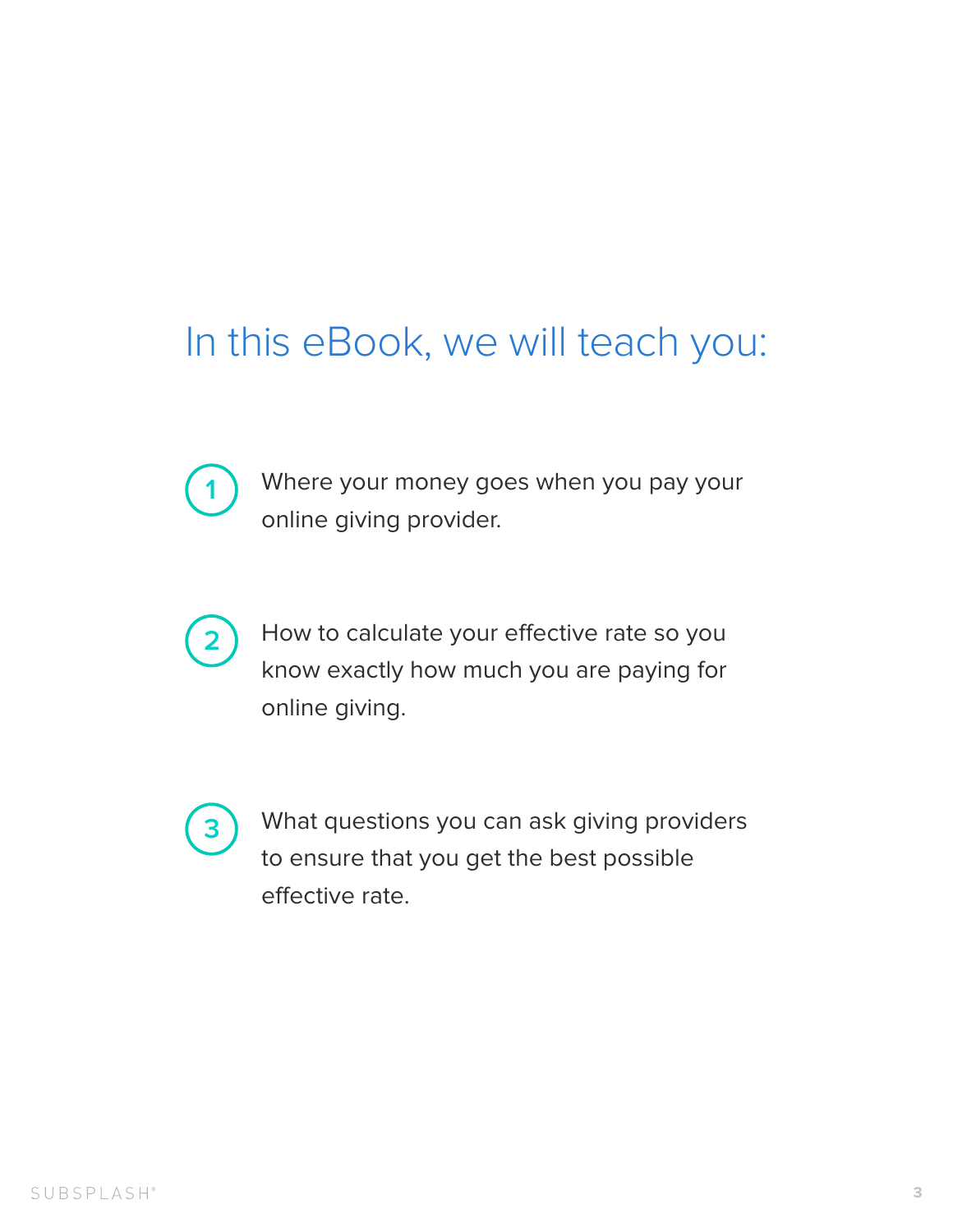### In this eBook, we will teach you:

Where your money goes when you pay your online giving provider.

How to calculate your effective rate so you know exactly how much you are paying for **2**

**3** What questions you can ask giving providers to ensure that you get the best possible effective rate.

online giving.

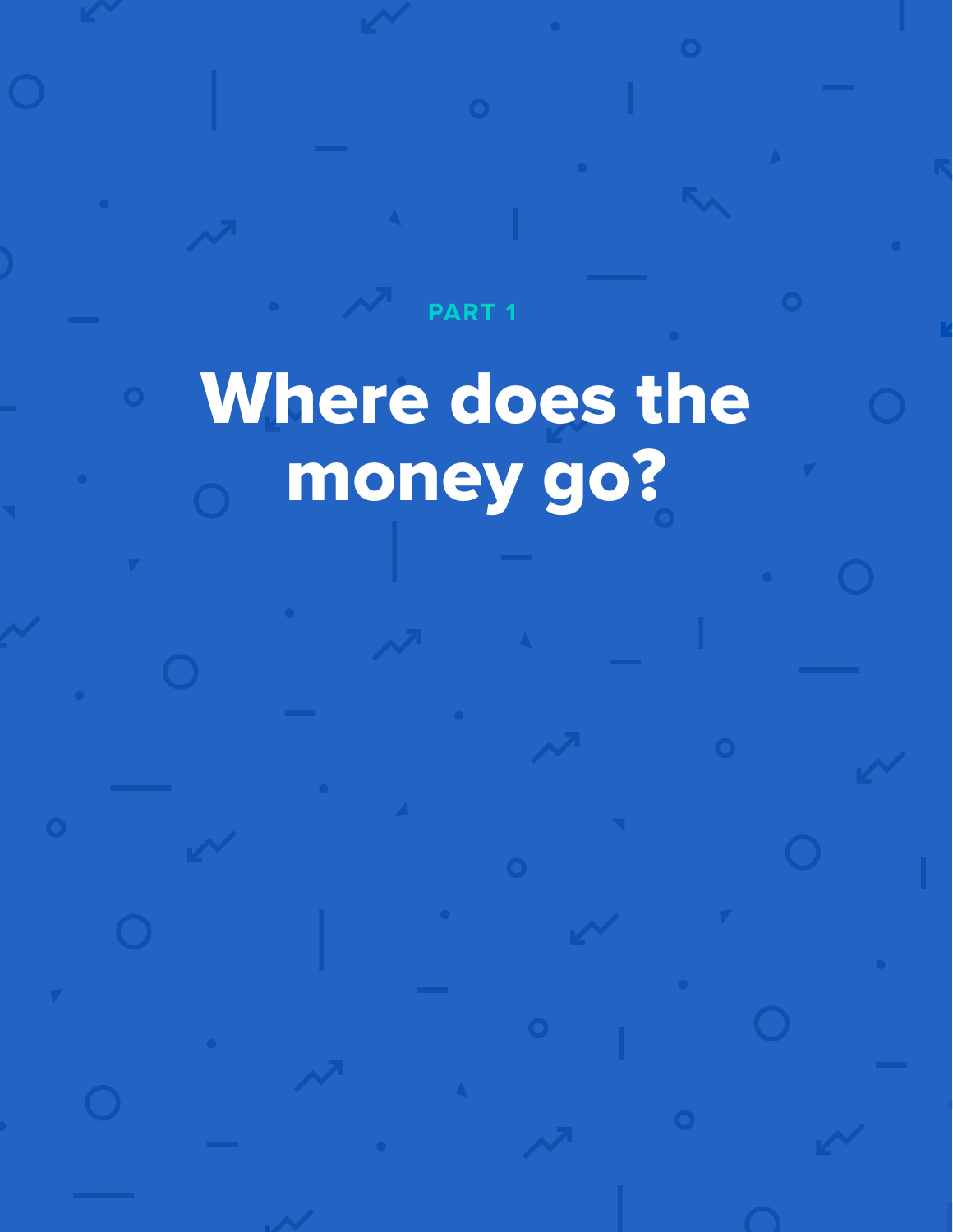# Where does the money go?

**PART 1**

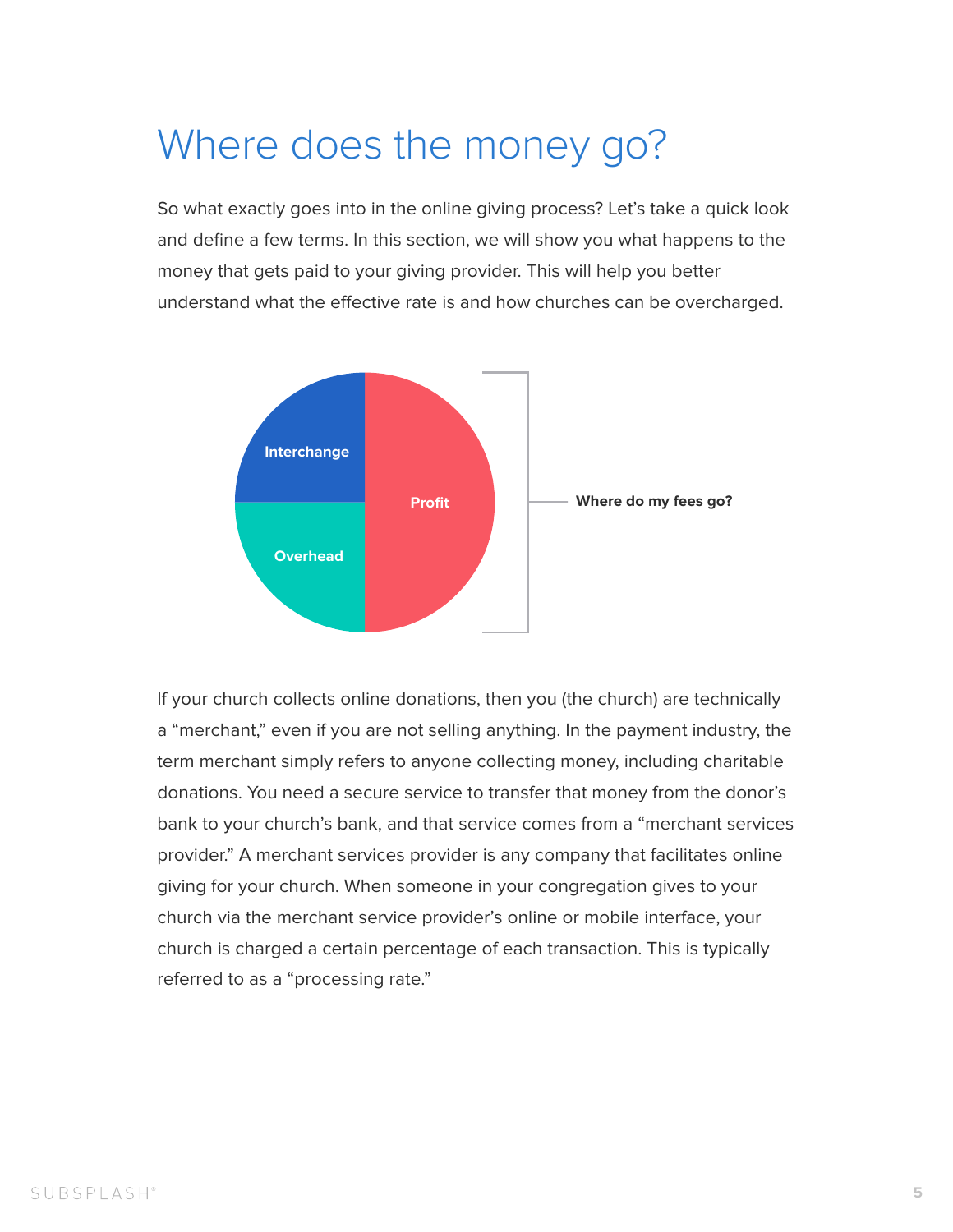### Where does the money go?

So what exactly goes into in the online giving process? Let's take a quick look and define a few terms. In this section, we will show you what happens to the money that gets paid to your giving provider. This will help you better understand what the effective rate is and how churches can be overcharged.

If your church collects online donations, then you (the church) are technically a "merchant," even if you are not selling anything. In the payment industry, the term merchant simply refers to anyone collecting money, including charitable donations. You need a secure service to transfer that money from the donor's bank to your church's bank, and that service comes from a "merchant services provider." A merchant services provider is any company that facilitates online giving for your church. When someone in your congregation gives to your church via the merchant service provider's online or mobile interface, your church is charged a certain percentage of each transaction. This is typically referred to as a "processing rate."

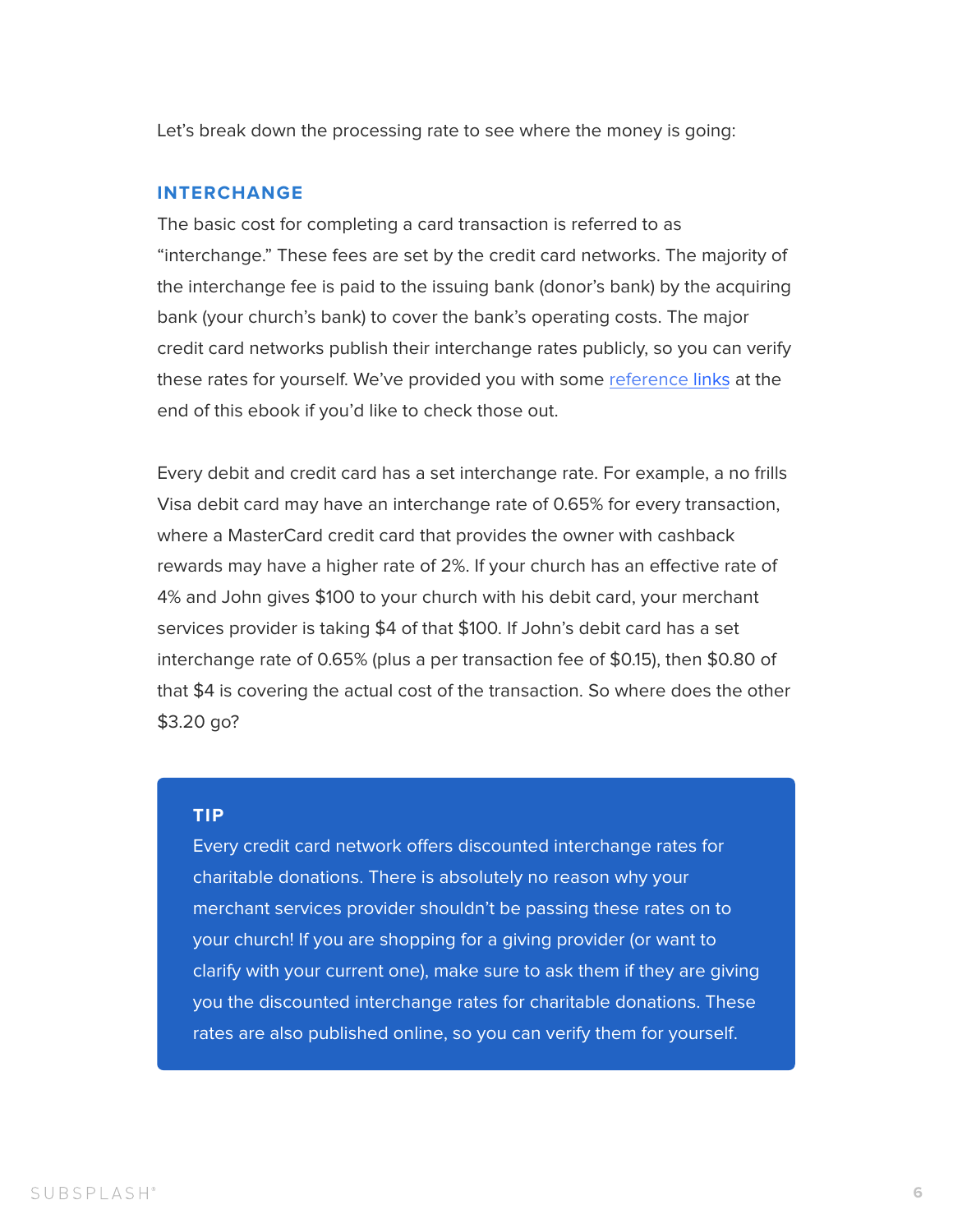Let's break down the processing rate to see where the money is going:

#### **INTERCHANGE**

The basic cost for completing a card transaction is referred to as "interchange." These fees are set by the credit card networks. The majority of the interchange fee is paid to the issuing bank (donor's bank) by the acquiring bank (your church's bank) to cover the bank's operating costs. The major credit card networks publish their interchange rates publicly, so you can verify these rates for yourself. We've provided you with some [reference links](#page-15-0) at the end of this ebook if you'd like to check those out.

Every credit card network offers discounted interchange rates for charitable donations. There is absolutely no reason why your merchant services provider shouldn't be passing these rates on to your church! If you are shopping for a giving provider (or want to clarify with your current one), make sure to ask them if they are giving you the discounted interchange rates for charitable donations. These rates are also published online, so you can verify them for yourself.

Every debit and credit card has a set interchange rate. For example, a no frills Visa debit card may have an interchange rate of 0.65% for every transaction, where a MasterCard credit card that provides the owner with cashback rewards may have a higher rate of 2%. If your church has an efective rate of 4% and John gives \$100 to your church with his debit card, your merchant services provider is taking \$4 of that \$100. If John's debit card has a set interchange rate of 0.65% (plus a per transaction fee of \$0.15), then \$0.80 of that \$4 is covering the actual cost of the transaction. So where does the other

\$3.20 go?

#### **TIP**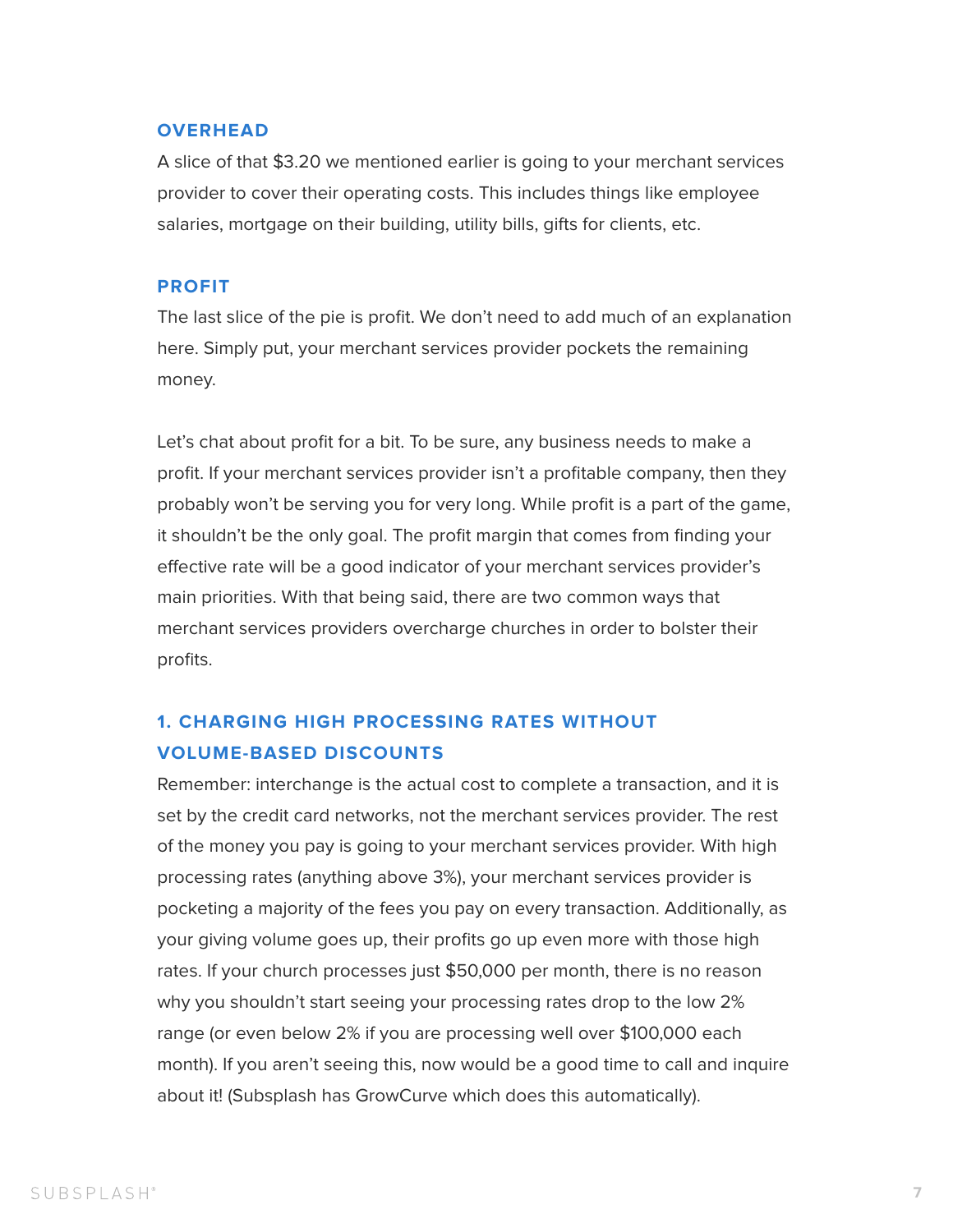#### **OVERHEAD**

A slice of that \$3.20 we mentioned earlier is going to your merchant services provider to cover their operating costs. This includes things like employee salaries, mortgage on their building, utility bills, gifts for clients, etc.

#### **PROFIT**

The last slice of the pie is profit. We don't need to add much of an explanation here. Simply put, your merchant services provider pockets the remaining money.

Let's chat about profit for a bit. To be sure, any business needs to make a profit. If your merchant services provider isn't a profitable company, then they probably won't be serving you for very long. While profit is a part of the game, it shouldn't be the only goal. The profit margin that comes from finding your efective rate will be a good indicator of your merchant services provider's main priorities. With that being said, there are two common ways that merchant services providers overcharge churches in order to bolster their profits.

#### **1. CHARGING HIGH PROCESSING RATES WITHOUT VOLUME-BASED DISCOUNTS**

Remember: interchange is the actual cost to complete a transaction, and it is set by the credit card networks, not the merchant services provider. The rest of the money you pay is going to your merchant services provider. With high processing rates (anything above 3%), your merchant services provider is pocketing a majority of the fees you pay on every transaction. Additionally, as your giving volume goes up, their profits go up even more with those high rates. If your church processes just \$50,000 per month, there is no reason why you shouldn't start seeing your processing rates drop to the low 2% range (or even below 2% if you are processing well over \$100,000 each month). If you aren't seeing this, now would be a good time to call and inquire about it! (Subsplash has GrowCurve which does this automatically).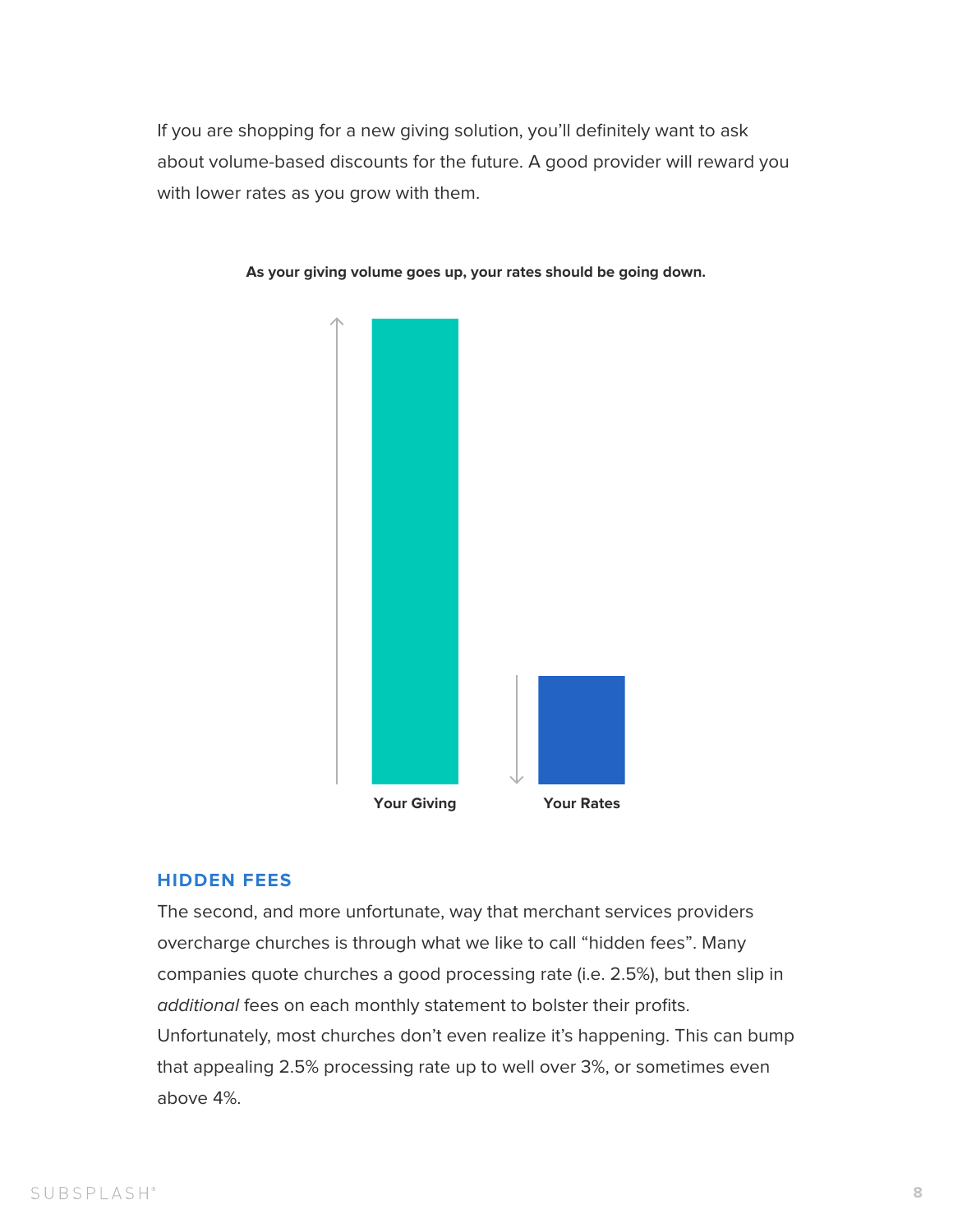If you are shopping for a new giving solution, you'll definitely want to ask about volume-based discounts for the future. A good provider will reward you with lower rates as you grow with them.

#### **HIDDEN FEES**

The second, and more unfortunate, way that merchant services providers overcharge churches is through what we like to call "hidden fees". Many companies quote churches a good processing rate (i.e. 2.5%), but then slip in additional fees on each monthly statement to bolster their profits. Unfortunately, most churches don't even realize it's happening. This can bump that appealing 2.5% processing rate up to well over 3%, or sometimes even above 4%.



**As your giving volume goes up, your rates should be going down.**

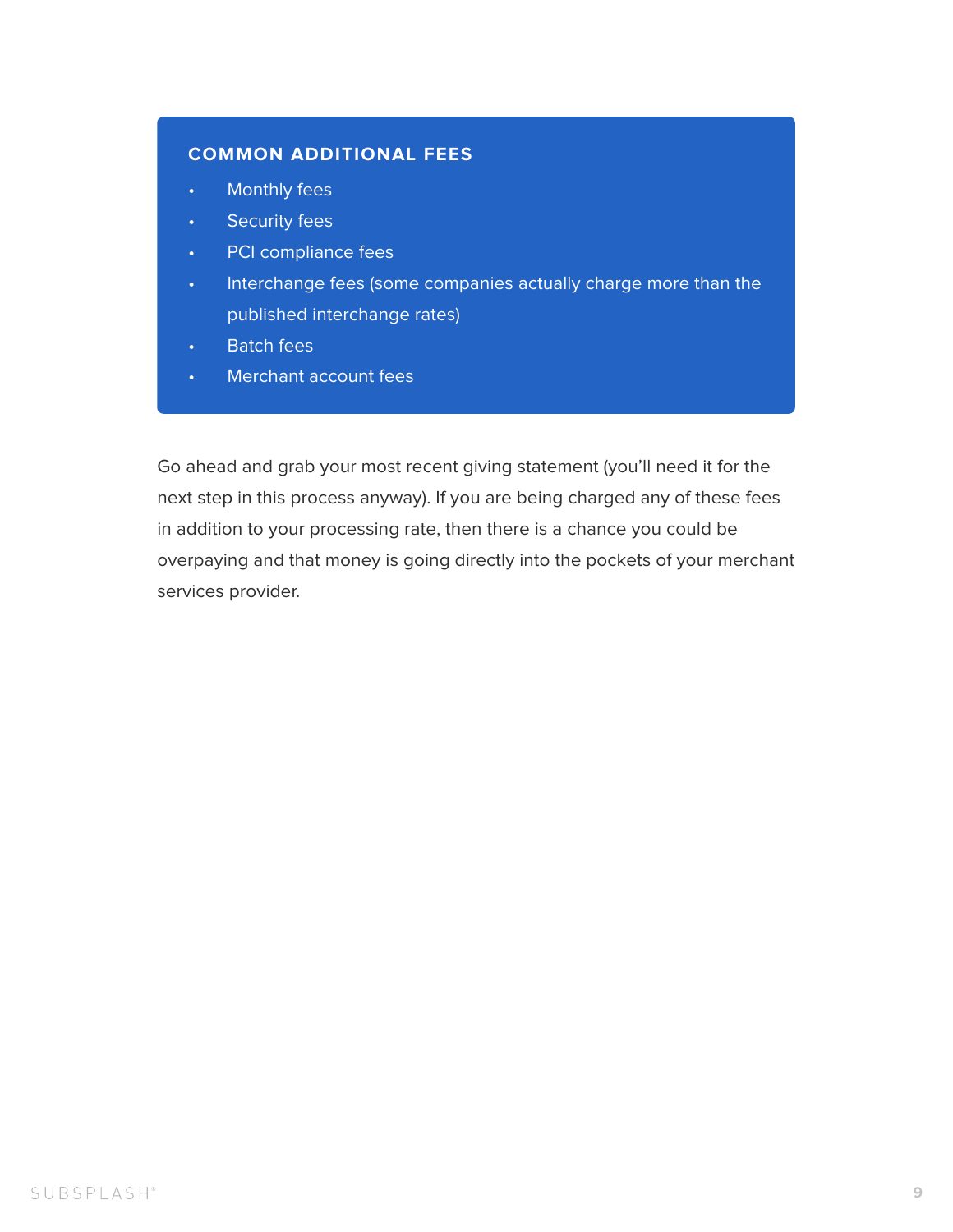Go ahead and grab your most recent giving statement (you'll need it for the next step in this process anyway). If you are being charged any of these fees in addition to your processing rate, then there is a chance you could be overpaying and that money is going directly into the pockets of your merchant services provider.

#### SUBSPLASH®

- Monthly fees
- Security fees
- PCI compliance fees
- Interchange fees (some companies actually charge more than the published interchange rates)
- Batch fees
- Merchant account fees

#### **COMMON ADDITIONAL FEES**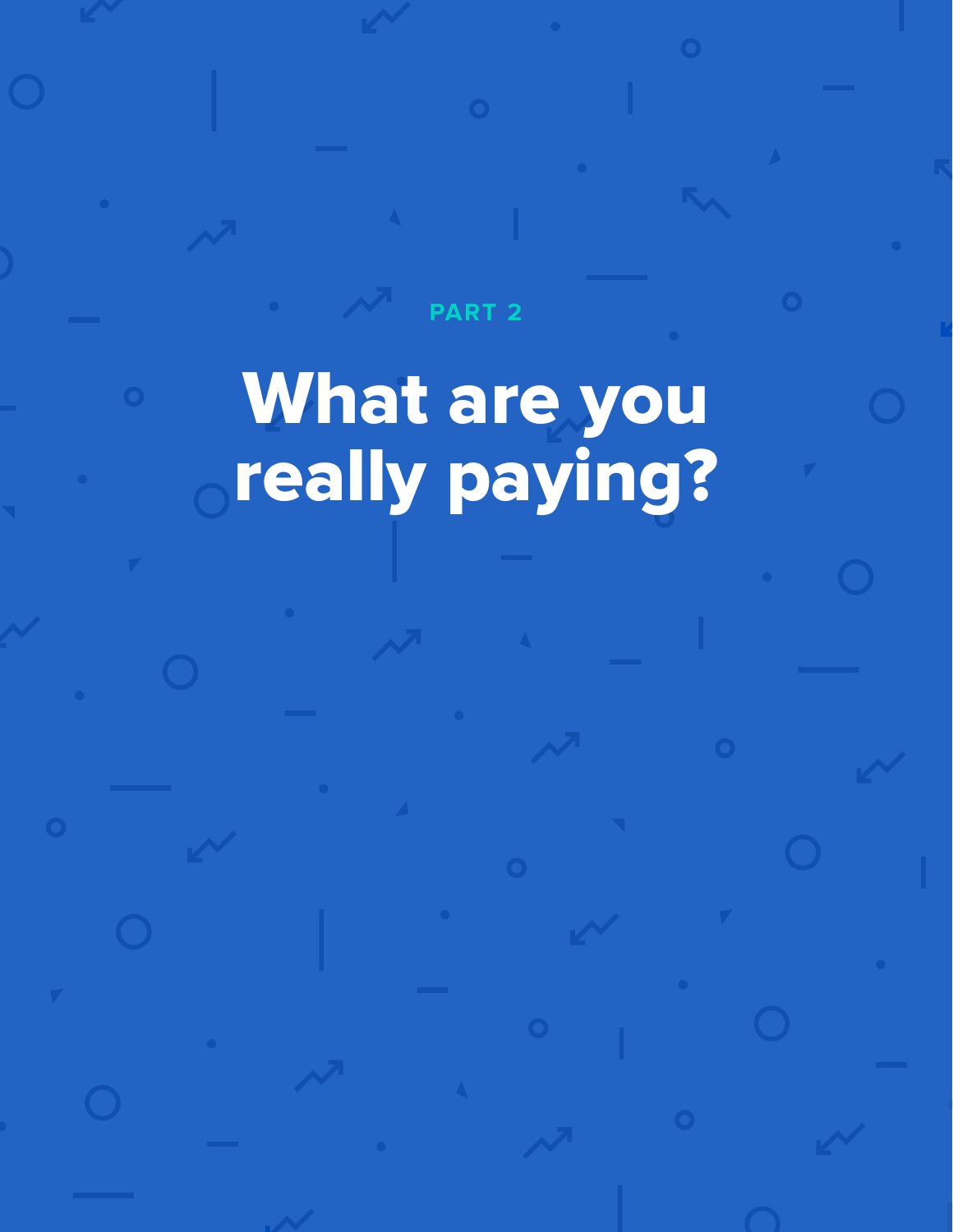# What are you really paying?

**PART 2**

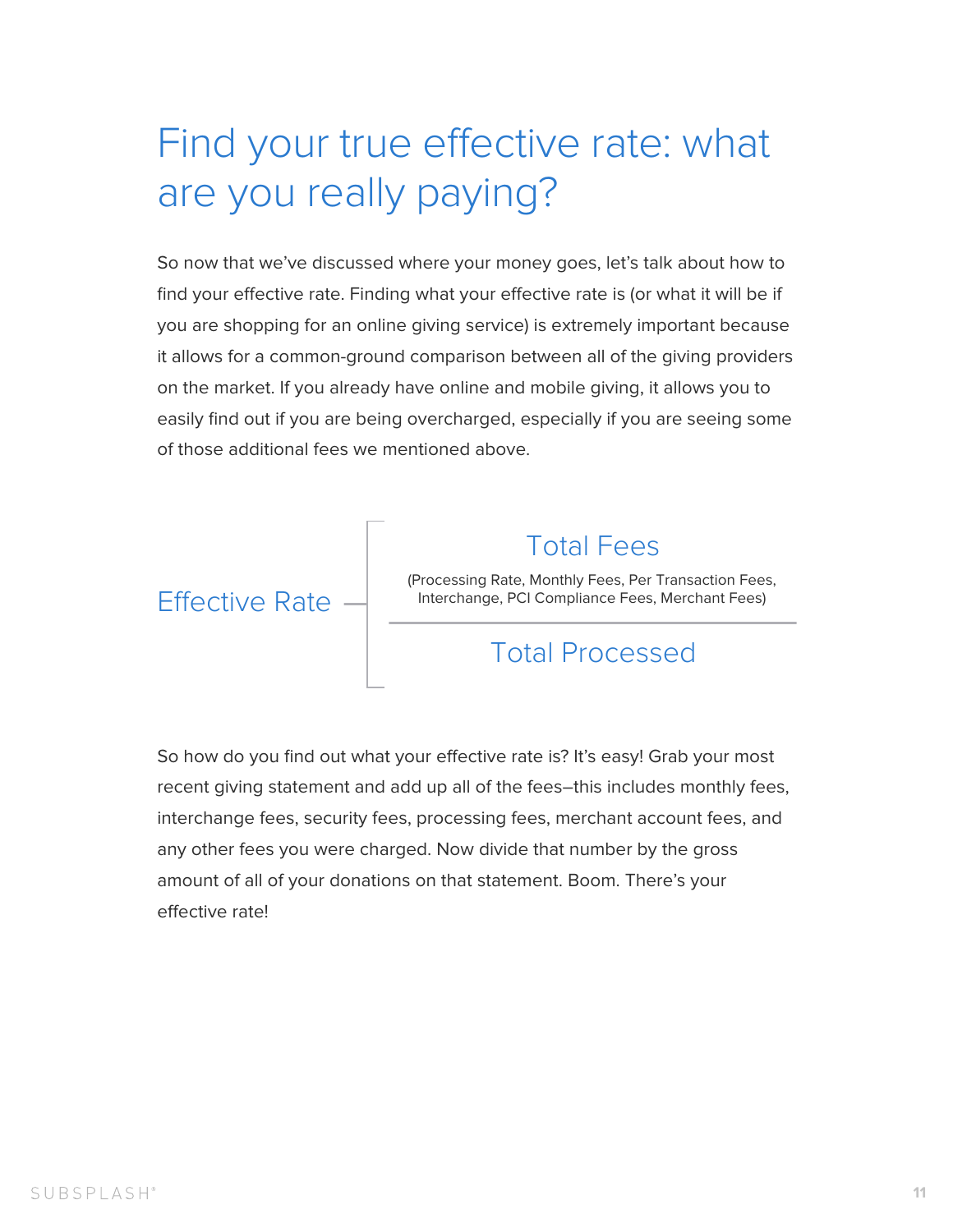## Find your true effective rate: what are you really paying?

So now that we've discussed where your money goes, let's talk about how to find your efective rate. Finding what your efective rate is (or what it will be if you are shopping for an online giving service) is extremely important because it allows for a common-ground comparison between all of the giving providers on the market. If you already have online and mobile giving, it allows you to easily find out if you are being overcharged, especially if you are seeing some of those additional fees we mentioned above.

### Total Processed

So how do you find out what your effective rate is? It's easy! Grab your most recent giving statement and add up all of the fees–this includes monthly fees, interchange fees, security fees, processing fees, merchant account fees, and any other fees you were charged. Now divide that number by the gross amount of all of your donations on that statement. Boom. There's your effective rate!

**Effective Rate** 

#### Total Fees

(Processing Rate, Monthly Fees, Per Transaction Fees, Interchange, PCI Compliance Fees, Merchant Fees)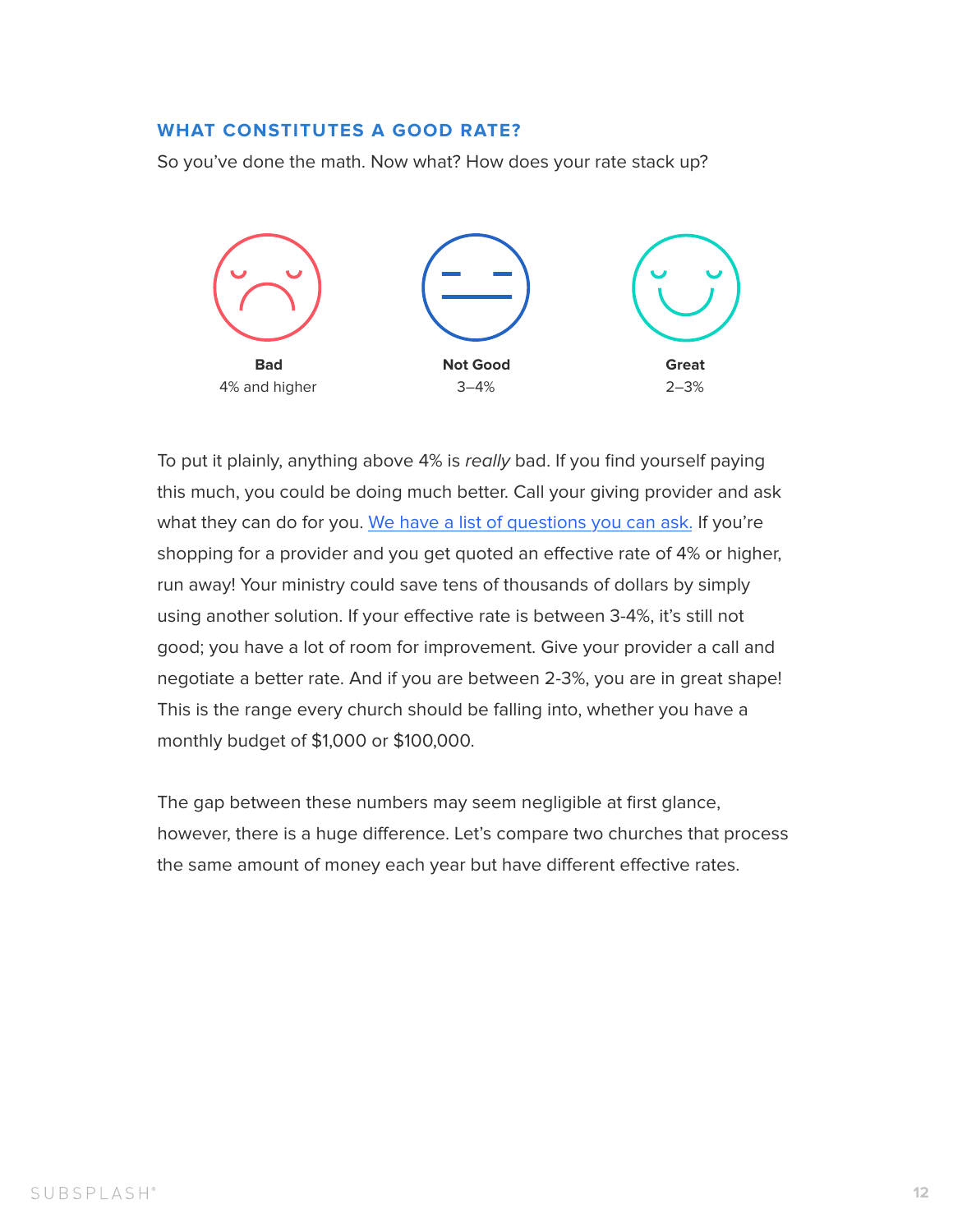#### **WHAT CONSTITUTES A GOOD RATE?**

So you've done the math. Now what? How does your rate stack up?

To put it plainly, anything above 4% is really bad. If you find yourself paying this much, you could be doing much better. Call your giving provider and ask what they can do for you. [We have a list of questions you can ask.](#page-14-0) If you're shopping for a provider and you get quoted an efective rate of 4% or higher, run away! Your ministry could save tens of thousands of dollars by simply using another solution. If your efective rate is between 3-4%, it's still not good; you have a lot of room for improvement. Give your provider a call and negotiate a better rate. And if you are between 2-3%, you are in great shape!

The gap between these numbers may seem negligible at first glance, however, there is a huge diference. Let's compare two churches that process the same amount of money each year but have different effective rates.

This is the range every church should be falling into, whether you have a monthly budget of \$1,000 or \$100,000.

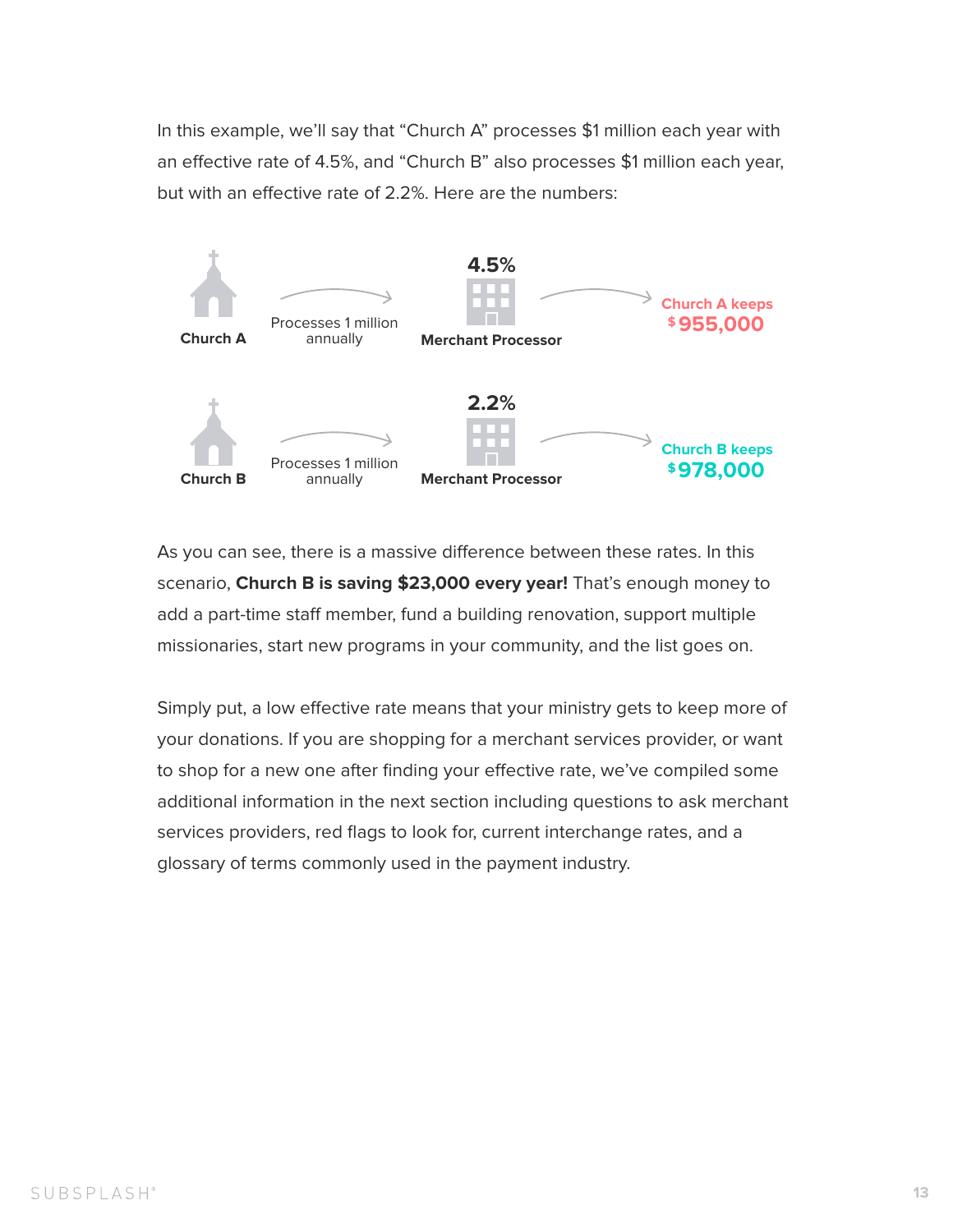As you can see, there is a massive diference between these rates. In this scenario, **Church B is saving \$23,000 every year!** That's enough money to add a part-time staff member, fund a building renovation, support multiple missionaries, start new programs in your community, and the list goes on.

Simply put, a low efective rate means that your ministry gets to keep more of your donations. If you are shopping for a merchant services provider, or want to shop for a new one after finding your effective rate, we've compiled some additional information in the next section including questions to ask merchant services providers, red flags to look for, current interchange rates, and a glossary of terms commonly used in the payment industry.

In this example, we'll say that "Church A" processes \$1 million each year with an efective rate of 4.5%, and "Church B" also processes \$1 million each year, but with an effective rate of 2.2%. Here are the numbers:

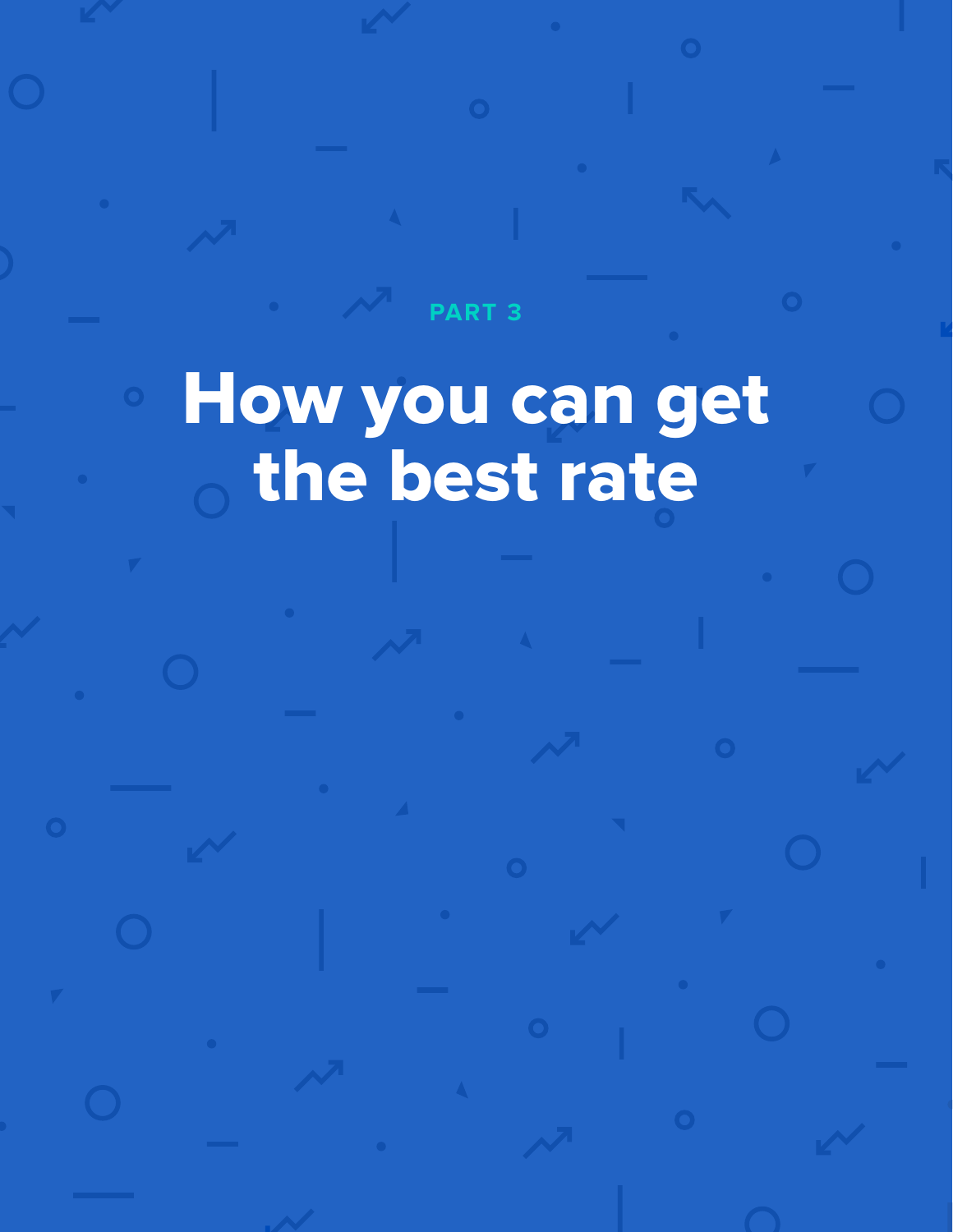## How you can get the best rate

**PART 3**

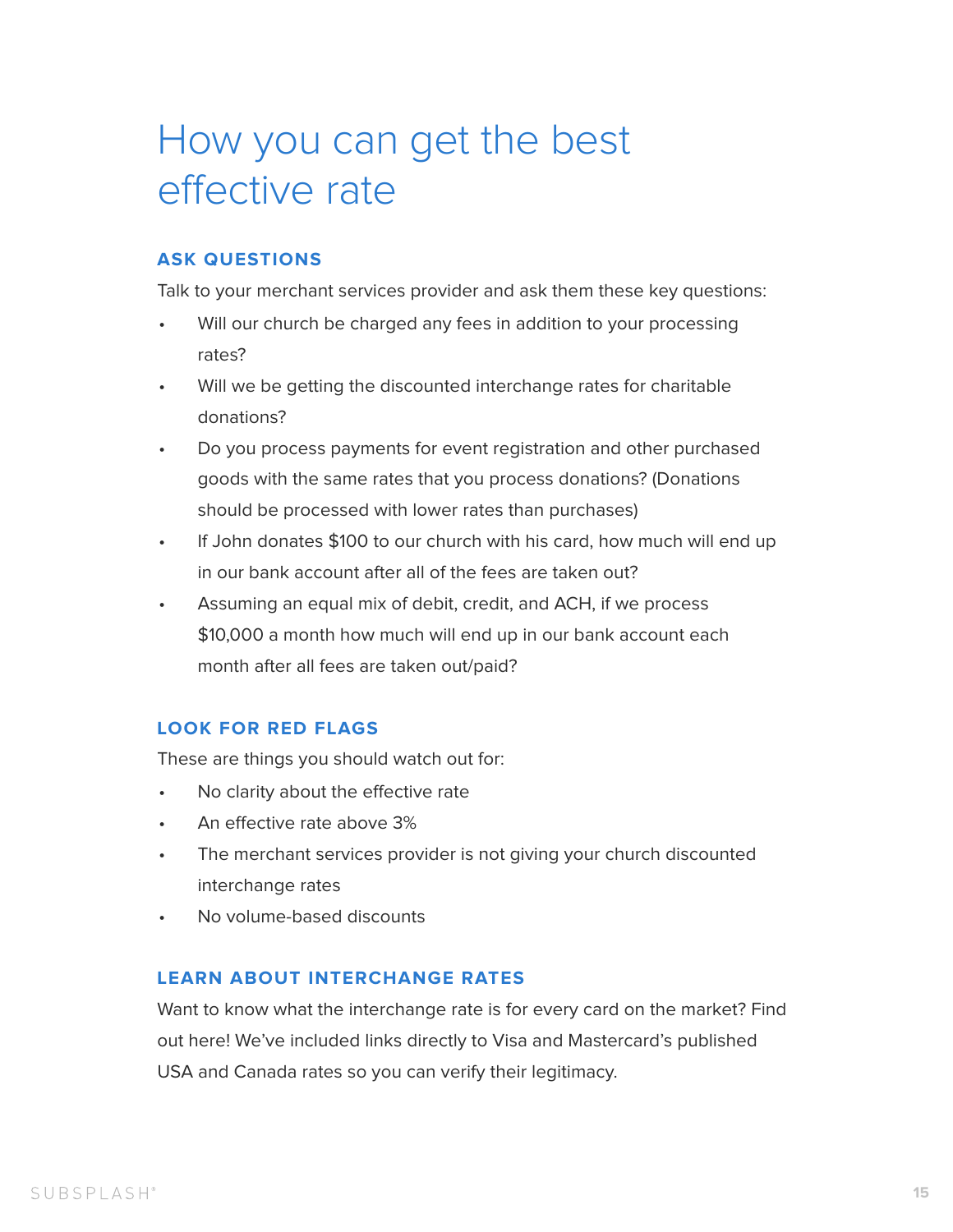- Will our church be charged any fees in addition to your processing rates?
- Will we be getting the discounted interchange rates for charitable donations?
- Do you process payments for event registration and other purchased goods with the same rates that you process donations? (Donations should be processed with lower rates than purchases)
- If John donates \$100 to our church with his card, how much will end up in our bank account after all of the fees are taken out?
- Assuming an equal mix of debit, credit, and ACH, if we process \$10,000 a month how much will end up in our bank account each month after all fees are taken out/paid?

- No clarity about the effective rate
- An effective rate above 3%
- The merchant services provider is not giving your church discounted interchange rates
- No volume-based discounts

## <span id="page-14-0"></span>How you can get the best effective rate

#### **ASK QUESTIONS**

Talk to your merchant services provider and ask them these key questions:

#### **LOOK FOR RED FLAGS**

These are things you should watch out for:

#### **LEARN ABOUT INTERCHANGE RATES**

Want to know what the interchange rate is for every card on the market? Find out here! We've included links directly to Visa and Mastercard's published USA and Canada rates so you can verify their legitimacy.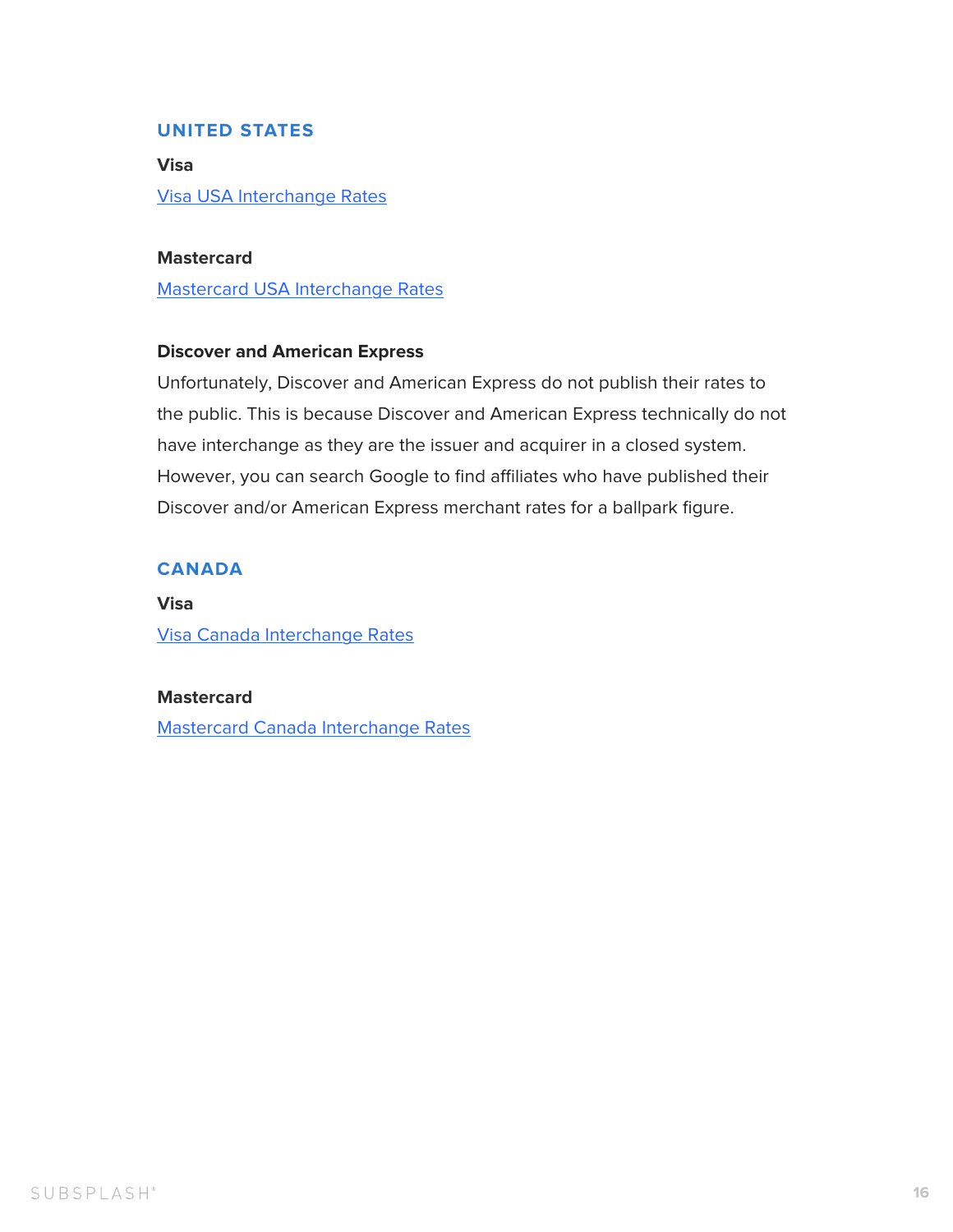**Visa**

[Visa USA Interchange Rates](https://usa.visa.com/support/small-business/regulations-fees.html)

**Mastercard**

[Mastercard USA Interchange Rates](https://www.mastercard.us/en-us/about-mastercard/what-we-do/interchange.html)

#### **Discover and American Express**

Unfortunately, Discover and American Express do not publish their rates to the public. This is because Discover and American Express technically do not have interchange as they are the issuer and acquirer in a closed system. However, you can search Google to find affiliates who have published their Discover and/or American Express merchant rates for a ballpark figure.

**Visa**

[Visa Canada Interchange Rates](https://www.visa.ca/en_CAsupport/small-business/interchange.html)

#### **Mastercard**

[Mastercard Canada Interchange Rates](https://www.mastercard.com/ca/merchant/en/getstarted/interchange_rates.html)

#### <span id="page-15-0"></span>**UNITED STATES**

#### **CANADA**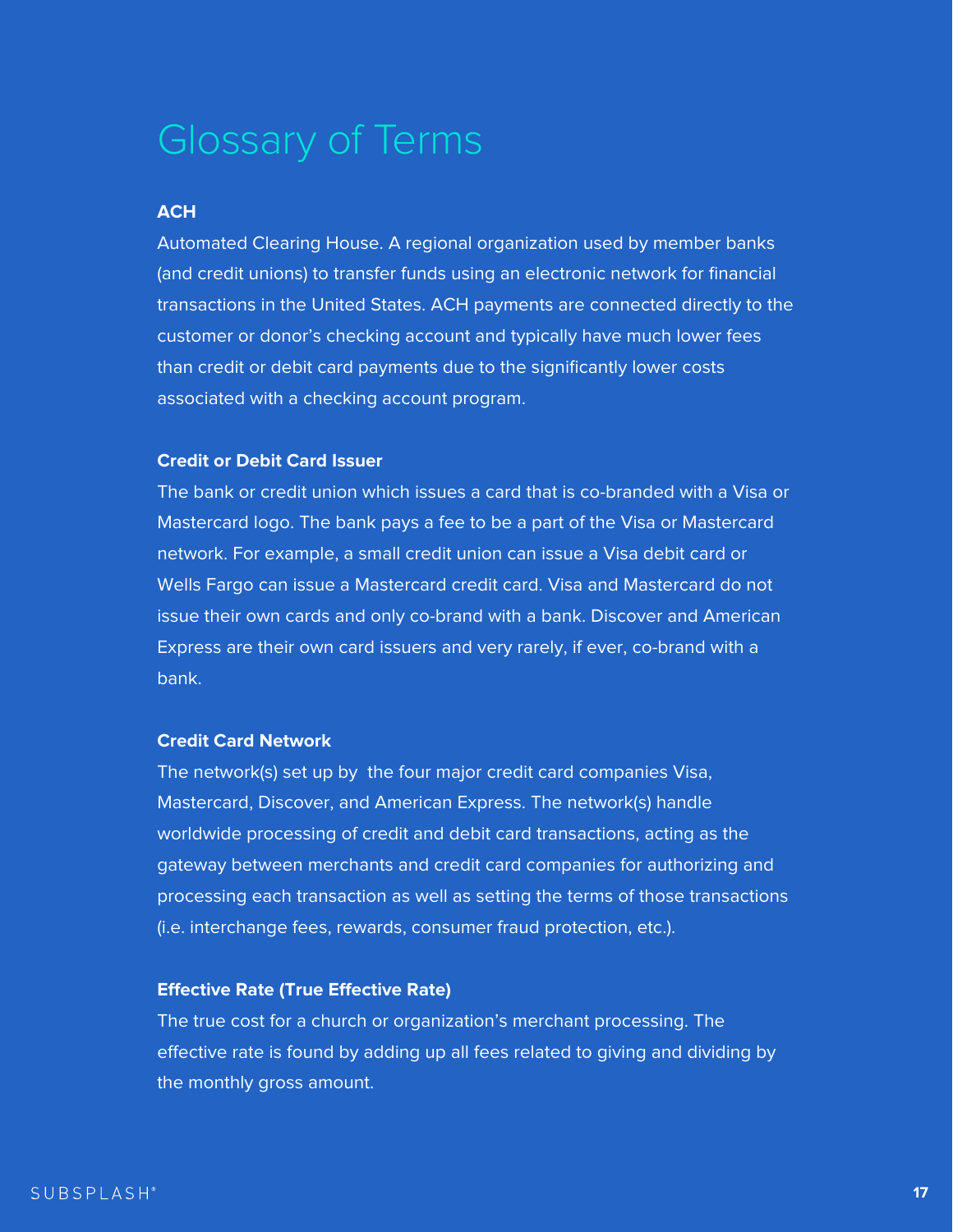#### **ACH**

Automated Clearing House. A regional organization used by member banks (and credit unions) to transfer funds using an electronic network for financial transactions in the United States. ACH payments are connected directly to the customer or donor's checking account and typically have much lower fees than credit or debit card payments due to the significantly lower costs associated with a checking account program.

#### **Credit or Debit Card Issuer**

The bank or credit union which issues a card that is co-branded with a Visa or Mastercard logo. The bank pays a fee to be a part of the Visa or Mastercard network. For example, a small credit union can issue a Visa debit card or Wells Fargo can issue a Mastercard credit card. Visa and Mastercard do not issue their own cards and only co-brand with a bank. Discover and American Express are their own card issuers and very rarely, if ever, co-brand with a bank.

#### **Credit Card Network**

The network(s) set up by the four major credit card companies Visa, Mastercard, Discover, and American Express. The network(s) handle worldwide processing of credit and debit card transactions, acting as the gateway between merchants and credit card companies for authorizing and processing each transaction as well as setting the terms of those transactions (i.e. interchange fees, rewards, consumer fraud protection, etc.).

#### **Efective Rate (True Efective Rate)**

The true cost for a church or organization's merchant processing. The effective rate is found by adding up all fees related to giving and dividing by the monthly gross amount.

![](_page_16_Picture_9.jpeg)

### Glossary of Terms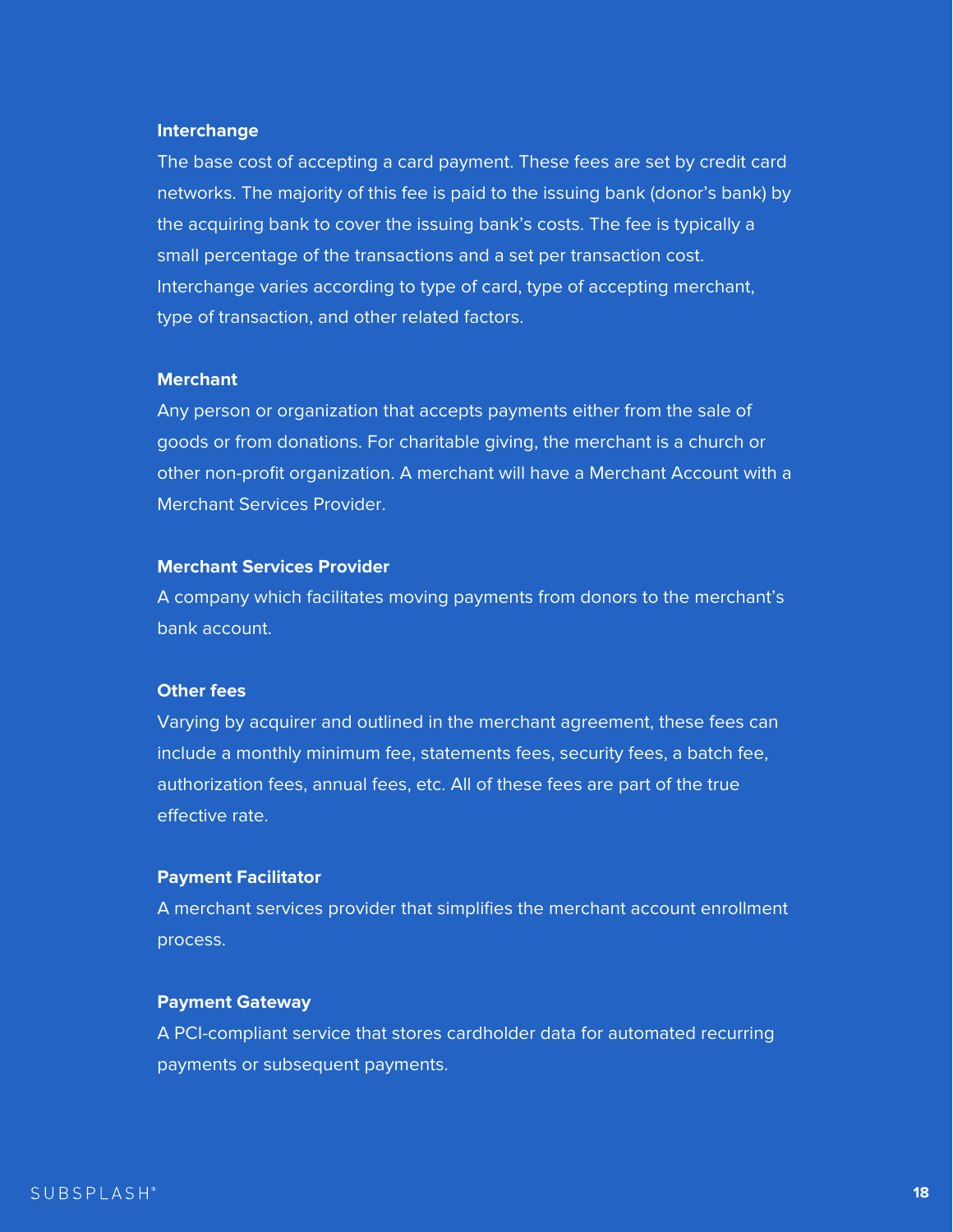#### **Interchange**

The base cost of accepting a card payment. These fees are set by credit card networks. The majority of this fee is paid to the issuing bank (donor's bank) by the acquiring bank to cover the issuing bank's costs. The fee is typically a small percentage of the transactions and a set per transaction cost. Interchange varies according to type of card, type of accepting merchant, type of transaction, and other related factors.

Varying by acquirer and outlined in the merchant agreement, these fees can include a monthly minimum fee, statements fees, security fees, a batch fee, authorization fees, annual fees, etc. All of these fees are part of the true effective rate.

#### **Merchant**

Any person or organization that accepts payments either from the sale of goods or from donations. For charitable giving, the merchant is a church or other non-profit organization. A merchant will have a Merchant Account with a Merchant Services Provider.

#### **Merchant Services Provider**

A company which facilitates moving payments from donors to the merchant's bank account.

#### **Other fees**

#### **Payment Facilitator**

A merchant services provider that simplifies the merchant account enrollment process.

#### **Payment Gateway**

A PCI-compliant service that stores cardholder data for automated recurring payments or subsequent payments.

![](_page_17_Picture_12.jpeg)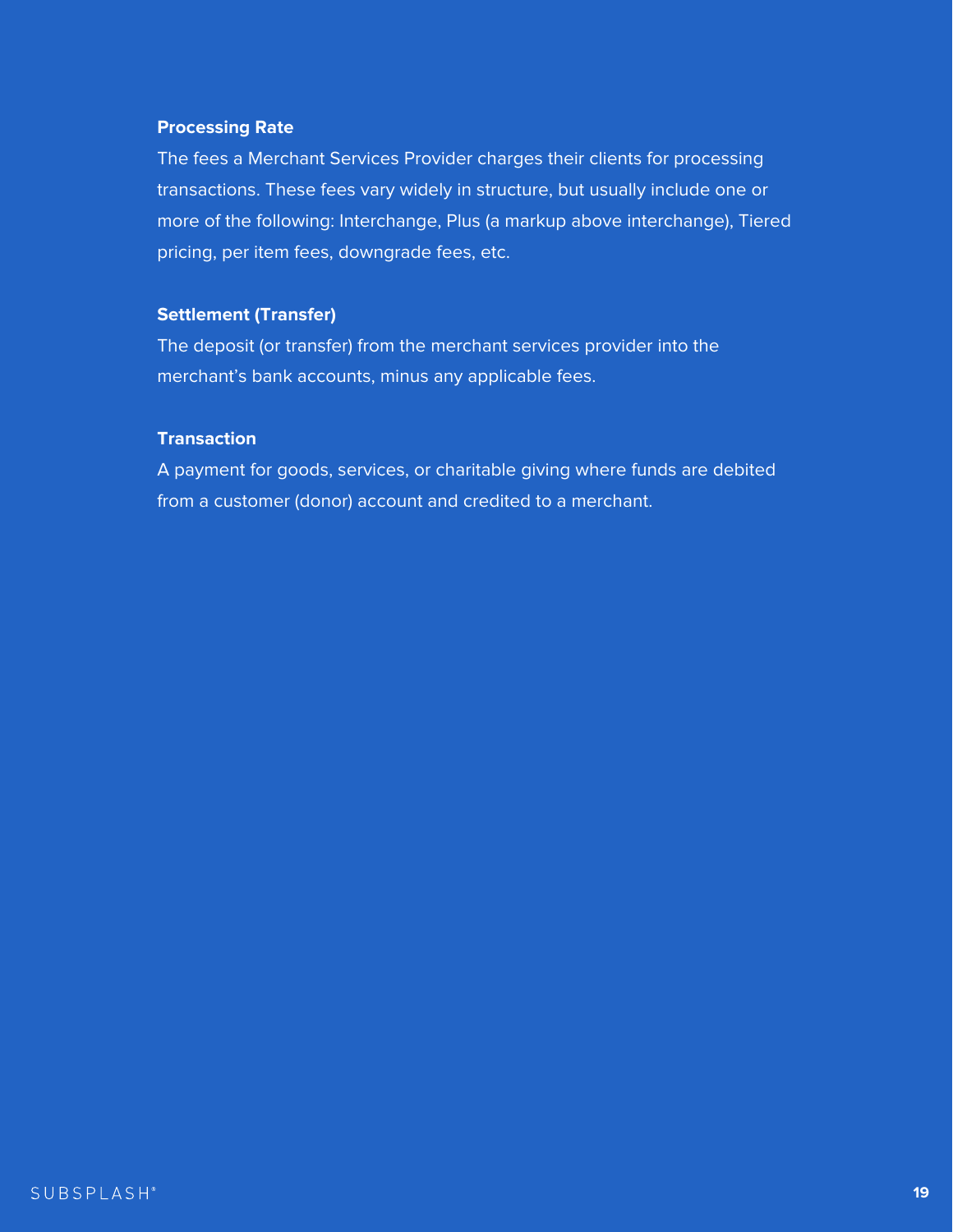#### **Processing Rate**

The fees a Merchant Services Provider charges their clients for processing transactions. These fees vary widely in structure, but usually include one or more of the following: Interchange, Plus (a markup above interchange), Tiered pricing, per item fees, downgrade fees, etc.

#### **Settlement (Transfer)**

The deposit (or transfer) from the merchant services provider into the merchant's bank accounts, minus any applicable fees.

#### **Transaction**

A payment for goods, services, or charitable giving where funds are debited from a customer (donor) account and credited to a merchant.

#### SUBSPLASH®